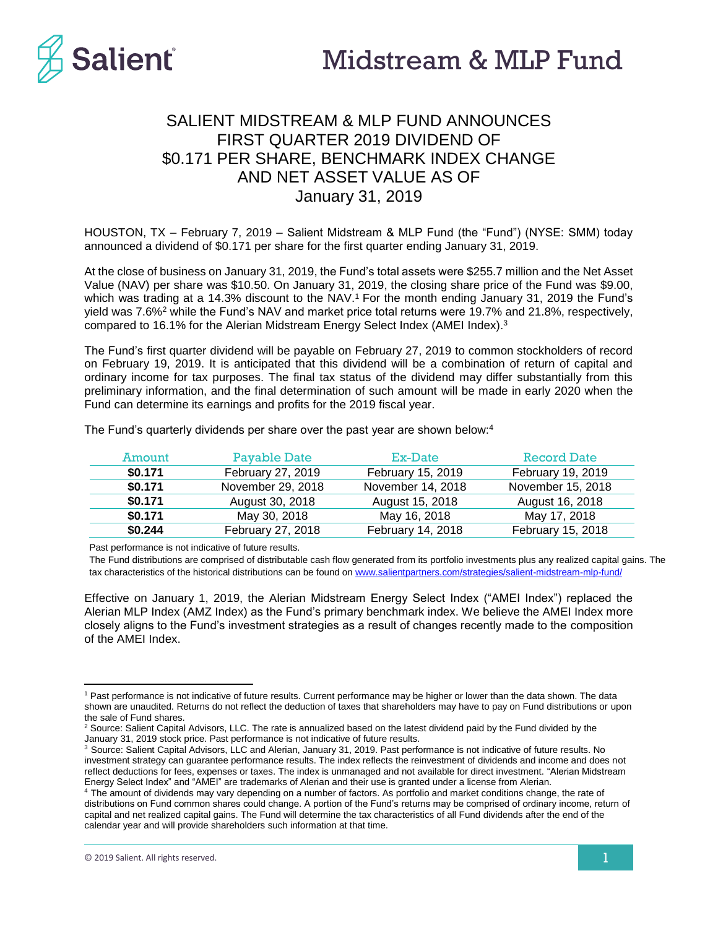

# SALIENT MIDSTREAM & MLP FUND ANNOUNCES FIRST QUARTER 2019 DIVIDEND OF \$0.171 PER SHARE, BENCHMARK INDEX CHANGE AND NET ASSET VALUE AS OF January 31, 2019

HOUSTON, TX – February 7, 2019 – Salient Midstream & MLP Fund (the "Fund") (NYSE: SMM) today announced a dividend of \$0.171 per share for the first quarter ending January 31, 2019.

At the close of business on January 31, 2019, the Fund's total assets were \$255.7 million and the Net Asset Value (NAV) per share was \$10.50. On January 31, 2019, the closing share price of the Fund was \$9.00, which was trading at a 14.3% discount to the NAV.<sup>1</sup> For the month ending January 31, 2019 the Fund's yield was 7.6%<sup>2</sup> while the Fund's NAV and market price total returns were 19.7% and 21.8%, respectively, compared to 16.1% for the Alerian Midstream Energy Select Index (AMEI Index). 3

The Fund's first quarter dividend will be payable on February 27, 2019 to common stockholders of record on February 19, 2019. It is anticipated that this dividend will be a combination of return of capital and ordinary income for tax purposes. The final tax status of the dividend may differ substantially from this preliminary information, and the final determination of such amount will be made in early 2020 when the Fund can determine its earnings and profits for the 2019 fiscal year.

| Amount  | Pavable Date      | Ex-Date           | <b>Record Date</b> |
|---------|-------------------|-------------------|--------------------|
| \$0.171 | February 27, 2019 | February 15, 2019 | February 19, 2019  |
| \$0.171 | November 29, 2018 | November 14, 2018 | November 15, 2018  |
| \$0.171 | August 30, 2018   | August 15, 2018   | August 16, 2018    |
| \$0.171 | May 30, 2018      | May 16, 2018      | May 17, 2018       |
| \$0.244 | February 27, 2018 | February 14, 2018 | February 15, 2018  |

The Fund's quarterly dividends per share over the past year are shown below: 4

Past performance is not indicative of future results.

The Fund distributions are comprised of distributable cash flow generated from its portfolio investments plus any realized capital gains. The tax characteristics of the historical distributions can be found on [www.salientpartners.com/strategies/salient-midstream-mlp-fund/](http://www.salientpartners.com/strategies/salient-midstream-mlp-fund/)

Effective on January 1, 2019, the Alerian Midstream Energy Select Index ("AMEI Index") replaced the Alerian MLP Index (AMZ Index) as the Fund's primary benchmark index. We believe the AMEI Index more closely aligns to the Fund's investment strategies as a result of changes recently made to the composition of the AMEI Index.

 $\overline{a}$ 

<sup>1</sup> Past performance is not indicative of future results. Current performance may be higher or lower than the data shown. The data shown are unaudited. Returns do not reflect the deduction of taxes that shareholders may have to pay on Fund distributions or upon the sale of Fund shares.

<sup>&</sup>lt;sup>2</sup> Source: Salient Capital Advisors, LLC. The rate is annualized based on the latest dividend paid by the Fund divided by the January 31, 2019 stock price. Past performance is not indicative of future results.

<sup>&</sup>lt;sup>3</sup> Source: Salient Capital Advisors, LLC and Alerian, January 31, 2019. Past performance is not indicative of future results. No investment strategy can guarantee performance results. The index reflects the reinvestment of dividends and income and does not reflect deductions for fees, expenses or taxes. The index is unmanaged and not available for direct investment. "Alerian Midstream Energy Select Index" and "AMEI" are trademarks of Alerian and their use is granted under a license from Alerian.

<sup>4</sup> The amount of dividends may vary depending on a number of factors. As portfolio and market conditions change, the rate of distributions on Fund common shares could change. A portion of the Fund's returns may be comprised of ordinary income, return of capital and net realized capital gains. The Fund will determine the tax characteristics of all Fund dividends after the end of the calendar year and will provide shareholders such information at that time.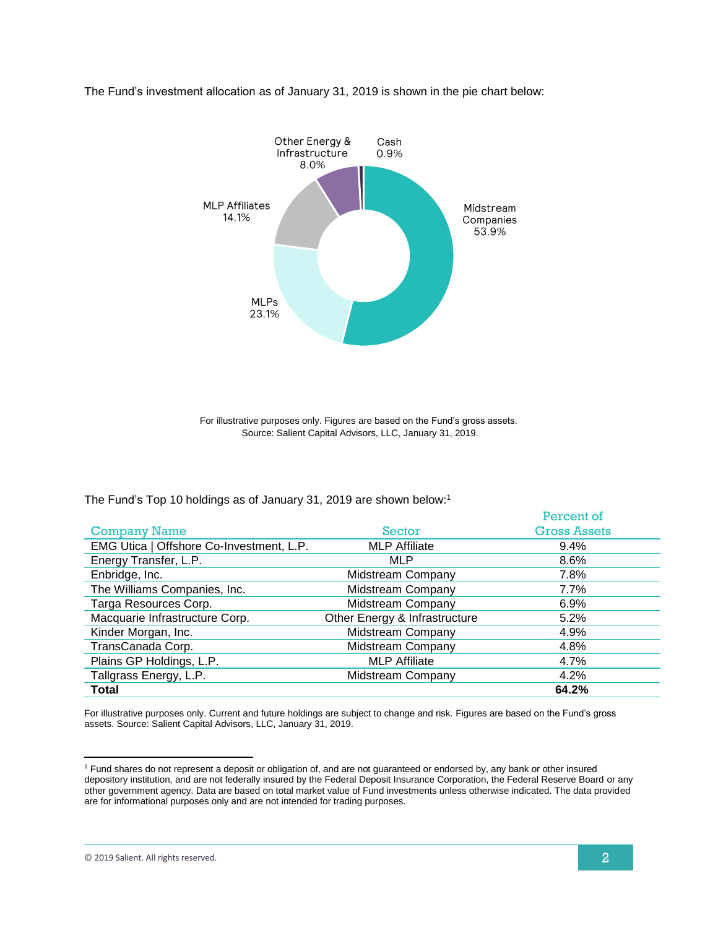

The Fund's investment allocation as of January 31, 2019 is shown in the pie chart below:

For illustrative purposes only. Figures are based on the Fund's gross assets. Source: Salient Capital Advisors, LLC, January 31, 2019.

The Fund's Top 10 holdings as of January 31, 2019 are shown below:<sup>1</sup>

|                                          |                               | Percent of          |
|------------------------------------------|-------------------------------|---------------------|
| <b>Company Name</b>                      | Sector                        | <b>Gross Assets</b> |
| EMG Utica   Offshore Co-Investment, L.P. | <b>MLP Affiliate</b>          | $9.4\%$             |
| Energy Transfer, L.P.                    | <b>MLP</b>                    | 8.6%                |
| Enbridge, Inc.                           | <b>Midstream Company</b>      | 7.8%                |
| The Williams Companies, Inc.             | Midstream Company             | 7.7%                |
| Targa Resources Corp.                    | Midstream Company             | 6.9%                |
| Macquarie Infrastructure Corp.           | Other Energy & Infrastructure | 5.2%                |
| Kinder Morgan, Inc.                      | Midstream Company             | 4.9%                |
| TransCanada Corp.                        | Midstream Company             | 4.8%                |
| Plains GP Holdings, L.P.                 | <b>MLP Affiliate</b>          | 4.7%                |
| Tallgrass Energy, L.P.                   | Midstream Company             | 4.2%                |
| Total                                    |                               | 64.2%               |

For illustrative purposes only. Current and future holdings are subject to change and risk. Figures are based on the Fund's gross assets. Source: Salient Capital Advisors, LLC, January 31, 2019.

 $\overline{a}$ 

<sup>1</sup> Fund shares do not represent a deposit or obligation of, and are not guaranteed or endorsed by, any bank or other insured depository institution, and are not federally insured by the Federal Deposit Insurance Corporation, the Federal Reserve Board or any other government agency. Data are based on total market value of Fund investments unless otherwise indicated. The data provided are for informational purposes only and are not intended for trading purposes.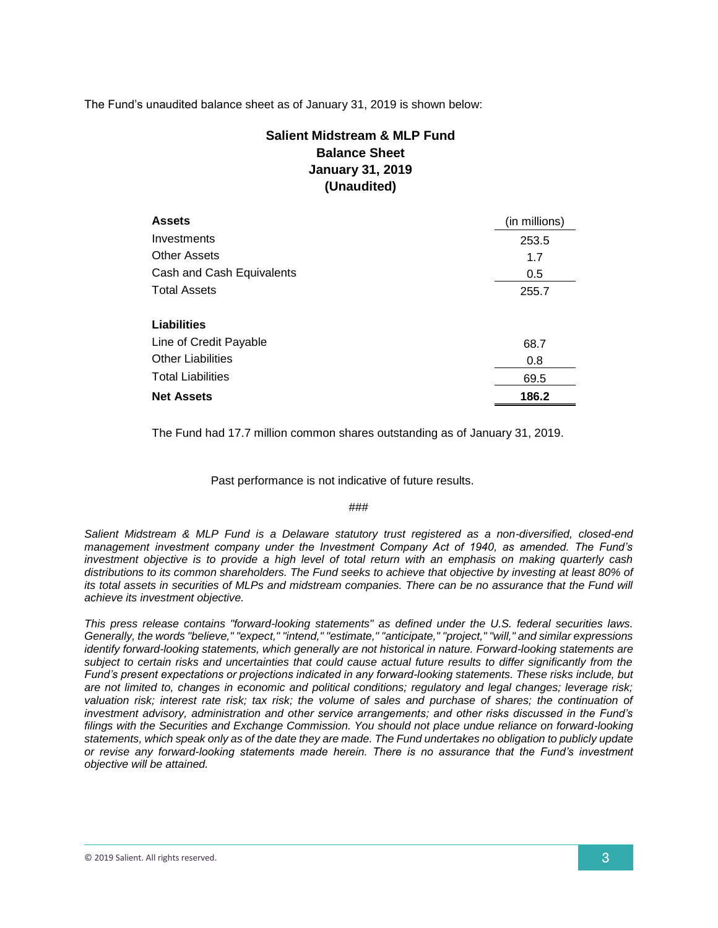The Fund's unaudited balance sheet as of January 31, 2019 is shown below:

## **Salient Midstream & MLP Fund Balance Sheet January 31, 2019 (Unaudited)**

| <b>Assets</b>             | (in millions) |
|---------------------------|---------------|
| Investments               | 253.5         |
| <b>Other Assets</b>       | 1.7           |
| Cash and Cash Equivalents | 0.5           |
| <b>Total Assets</b>       | 255.7         |
|                           |               |
| Liabilities               |               |
| Line of Credit Payable    | 68.7          |
| <b>Other Liabilities</b>  | 0.8           |
| <b>Total Liabilities</b>  | 69.5          |
| <b>Net Assets</b>         | 186.2         |

The Fund had 17.7 million common shares outstanding as of January 31, 2019.

Past performance is not indicative of future results.

#### ###

*Salient Midstream & MLP Fund is a Delaware statutory trust registered as a non-diversified, closed-end management investment company under the Investment Company Act of 1940, as amended. The Fund's investment objective is to provide a high level of total return with an emphasis on making quarterly cash distributions to its common shareholders. The Fund seeks to achieve that objective by investing at least 80% of its total assets in securities of MLPs and midstream companies. There can be no assurance that the Fund will achieve its investment objective.*

*This press release contains "forward-looking statements" as defined under the U.S. federal securities laws. Generally, the words "believe," "expect," "intend," "estimate," "anticipate," "project," "will," and similar expressions identify forward-looking statements, which generally are not historical in nature. Forward-looking statements are subject to certain risks and uncertainties that could cause actual future results to differ significantly from the Fund's present expectations or projections indicated in any forward-looking statements. These risks include, but are not limited to, changes in economic and political conditions; regulatory and legal changes; leverage risk;*  valuation risk; interest rate risk; tax risk; the volume of sales and purchase of shares; the continuation of *investment advisory, administration and other service arrangements; and other risks discussed in the Fund's filings with the Securities and Exchange Commission. You should not place undue reliance on forward-looking statements, which speak only as of the date they are made. The Fund undertakes no obligation to publicly update or revise any forward-looking statements made herein. There is no assurance that the Fund's investment objective will be attained.*